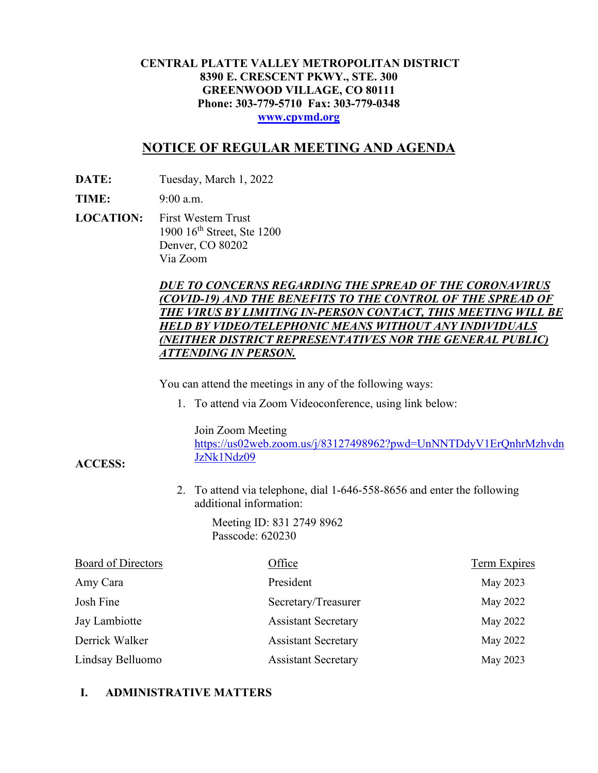### **CENTRAL PLATTE VALLEY METROPOLITAN DISTRICT 8390 E. CRESCENT PKWY., STE. 300 GREENWOOD VILLAGE, CO 80111 Phone: 303-779-5710 Fax: 303-779-0348 [www.cpvmd.org](http://www.cpvmd.org/)**

# **NOTICE OF REGULAR MEETING AND AGENDA**

**DATE:** Tuesday, March 1, 2022

**TIME:** 9:00 a.m.

**ACCESS:**

**LOCATION:** First Western Trust 1900 16<sup>th</sup> Street, Ste 1200 Denver, CO 80202 Via Zoom

## *DUE TO CONCERNS REGARDING THE SPREAD OF THE CORONAVIRUS (COVID-19) AND THE BENEFITS TO THE CONTROL OF THE SPREAD OF THE VIRUS BY LIMITING IN-PERSON CONTACT, THIS MEETING WILL BE HELD BY VIDEO/TELEPHONIC MEANS WITHOUT ANY INDIVIDUALS (NEITHER DISTRICT REPRESENTATIVES NOR THE GENERAL PUBLIC) ATTENDING IN PERSON.*

You can attend the meetings in any of the following ways:

1. To attend via Zoom Videoconference, using link below:

Join Zoom Meeting

[https://us02web.zoom.us/j/83127498962?pwd=UnNNTDdyV1ErQnhrMzhvdn](https://nam11.safelinks.protection.outlook.com/?url=https%3A%2F%2Fus02web.zoom.us%2Fj%2F83127498962%3Fpwd%3DUnNNTDdyV1ErQnhrMzhvdnJzNk1Ndz09&data=04%7C01%7CRachel.alles%40claconnect.com%7C515b8a3a5bb149f0483608d9bfe9225c%7C4aaa468e93ba4ee3ab9f6a247aa3ade0%7C0%7C0%7C637751830440162010%7CUnknown%7CTWFpbGZsb3d8eyJWIjoiMC4wLjAwMDAiLCJQIjoiV2luMzIiLCJBTiI6Ik1haWwiLCJXVCI6Mn0%3D%7C1000&sdata=52L7UuwlopVA0rXq4v79MPjtXkMJTQPWRs1BvoYRINs%3D&reserved=0) [JzNk1Ndz09](https://nam11.safelinks.protection.outlook.com/?url=https%3A%2F%2Fus02web.zoom.us%2Fj%2F83127498962%3Fpwd%3DUnNNTDdyV1ErQnhrMzhvdnJzNk1Ndz09&data=04%7C01%7CRachel.alles%40claconnect.com%7C515b8a3a5bb149f0483608d9bfe9225c%7C4aaa468e93ba4ee3ab9f6a247aa3ade0%7C0%7C0%7C637751830440162010%7CUnknown%7CTWFpbGZsb3d8eyJWIjoiMC4wLjAwMDAiLCJQIjoiV2luMzIiLCJBTiI6Ik1haWwiLCJXVCI6Mn0%3D%7C1000&sdata=52L7UuwlopVA0rXq4v79MPjtXkMJTQPWRs1BvoYRINs%3D&reserved=0)

2. To attend via telephone, dial 1-646-558-8656 and enter the following additional information:

> Meeting ID: 831 2749 8962 Passcode: 620230

| <b>Board of Directors</b> | Office                     | <b>Term Expires</b> |
|---------------------------|----------------------------|---------------------|
| Amy Cara                  | President                  | May 2023            |
| Josh Fine                 | Secretary/Treasurer        | May 2022            |
| Jay Lambiotte             | <b>Assistant Secretary</b> | May 2022            |
| Derrick Walker            | <b>Assistant Secretary</b> | May 2022            |
| Lindsay Belluomo          | <b>Assistant Secretary</b> | May 2023            |

# **I. ADMINISTRATIVE MATTERS**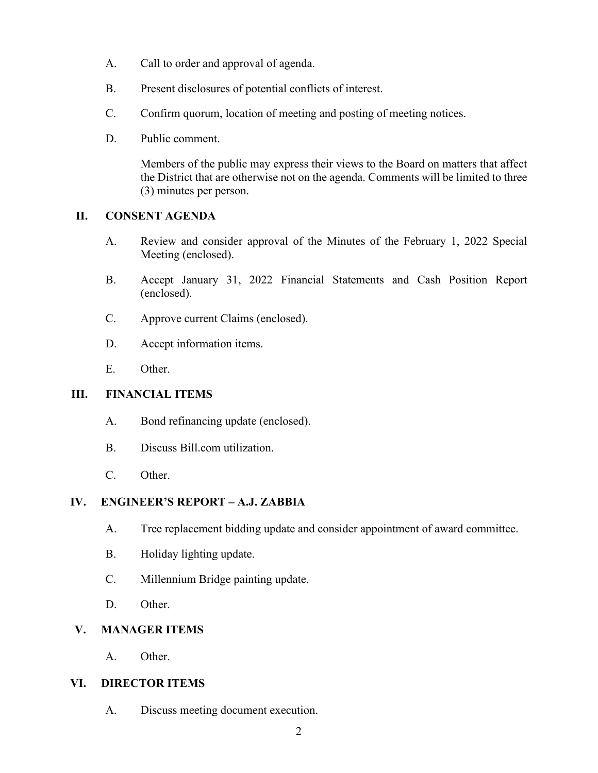- A. Call to order and approval of agenda.
- B. Present disclosures of potential conflicts of interest.
- C. Confirm quorum, location of meeting and posting of meeting notices.
- D. Public comment.

Members of the public may express their views to the Board on matters that affect the District that are otherwise not on the agenda. Comments will be limited to three (3) minutes per person.

### **II. CONSENT AGENDA**

- A. Review and consider approval of the Minutes of the February 1, 2022 Special Meeting (enclosed).
- B. Accept January 31, 2022 Financial Statements and Cash Position Report (enclosed).
- C. Approve current Claims (enclosed).
- D. Accept information items.
- E. Other.

#### **III. FINANCIAL ITEMS**

- A. Bond refinancing update (enclosed).
- B. Discuss Bill.com utilization.
- C. Other.

# **IV. ENGINEER'S REPORT – A.J. ZABBIA**

- A. Tree replacement bidding update and consider appointment of award committee.
- B. Holiday lighting update.
- C. Millennium Bridge painting update.
- D. Other.

#### **V. MANAGER ITEMS**

A. Other.

#### **VI. DIRECTOR ITEMS**

A. Discuss meeting document execution.